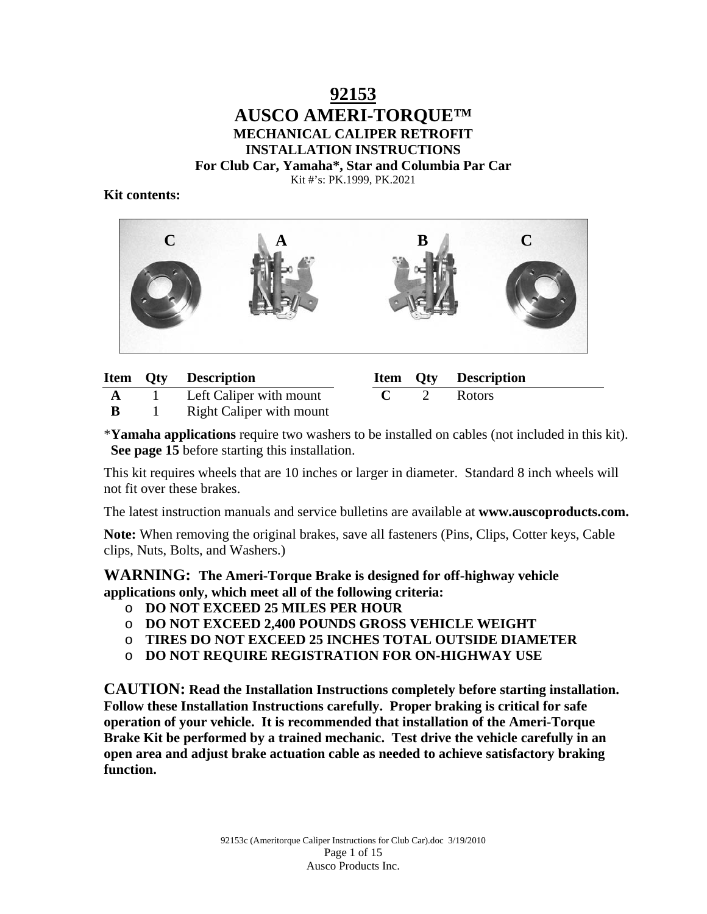### **92153 AUSCO AMERI-TORQUE™ MECHANICAL CALIPER RETROFIT INSTALLATION INSTRUCTIONS For Club Car, Yamaha\*, Star and Columbia Par Car** Kit #'s: PK.1999, PK.2021

#### **Kit contents:**



|  |  | <b>Item Qty Description</b> |  |  | Item Qty Description |
|--|--|-----------------------------|--|--|----------------------|
|--|--|-----------------------------|--|--|----------------------|

| A | Left Caliper with mount         |
|---|---------------------------------|
| B | <b>Right Caliper with mount</b> |

|  | <b>Item Qty Description</b> |
|--|-----------------------------|
|  | <b>Rotors</b>               |

\***Yamaha applications** require two washers to be installed on cables (not included in this kit). **See page 15** before starting this installation.

This kit requires wheels that are 10 inches or larger in diameter. Standard 8 inch wheels will not fit over these brakes.

The latest instruction manuals and service bulletins are available at **www.auscoproducts.com.**

**Note:** When removing the original brakes, save all fasteners (Pins, Clips, Cotter keys, Cable clips, Nuts, Bolts, and Washers.)

**WARNING: The Ameri-Torque Brake is designed for off-highway vehicle applications only, which meet all of the following criteria:** 

- o **DO NOT EXCEED 25 MILES PER HOUR**
- o **DO NOT EXCEED 2,400 POUNDS GROSS VEHICLE WEIGHT**
- o **TIRES DO NOT EXCEED 25 INCHES TOTAL OUTSIDE DIAMETER**
- o **DO NOT REQUIRE REGISTRATION FOR ON-HIGHWAY USE**

**CAUTION: Read the Installation Instructions completely before starting installation. Follow these Installation Instructions carefully. Proper braking is critical for safe operation of your vehicle. It is recommended that installation of the Ameri-Torque Brake Kit be performed by a trained mechanic. Test drive the vehicle carefully in an open area and adjust brake actuation cable as needed to achieve satisfactory braking function.**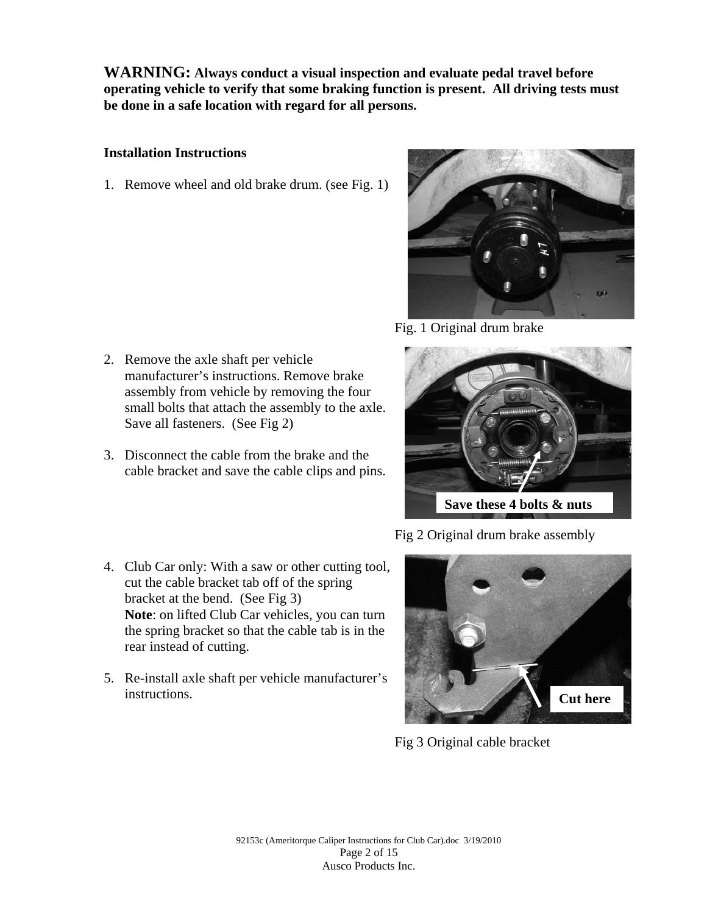**WARNING: Always conduct a visual inspection and evaluate pedal travel before operating vehicle to verify that some braking function is present. All driving tests must be done in a safe location with regard for all persons.**

#### **Installation Instructions**

1. Remove wheel and old brake drum. (see Fig. 1)



Fig. 1 Original drum brake

- 2. Remove the axle shaft per vehicle manufacturer's instructions. Remove brake assembly from vehicle by removing the four small bolts that attach the assembly to the axle. Save all fasteners. (See Fig 2)
- 3. Disconnect the cable from the brake and the cable bracket and save the cable clips and pins.



Fig 2 Original drum brake assembly

- 4. Club Car only: With a saw or other cutting tool, cut the cable bracket tab off of the spring bracket at the bend. (See Fig 3) **Note**: on lifted Club Car vehicles, you can turn the spring bracket so that the cable tab is in the rear instead of cutting.
- 5. Re-install axle shaft per vehicle manufacturer's instructions.



Fig 3 Original cable bracket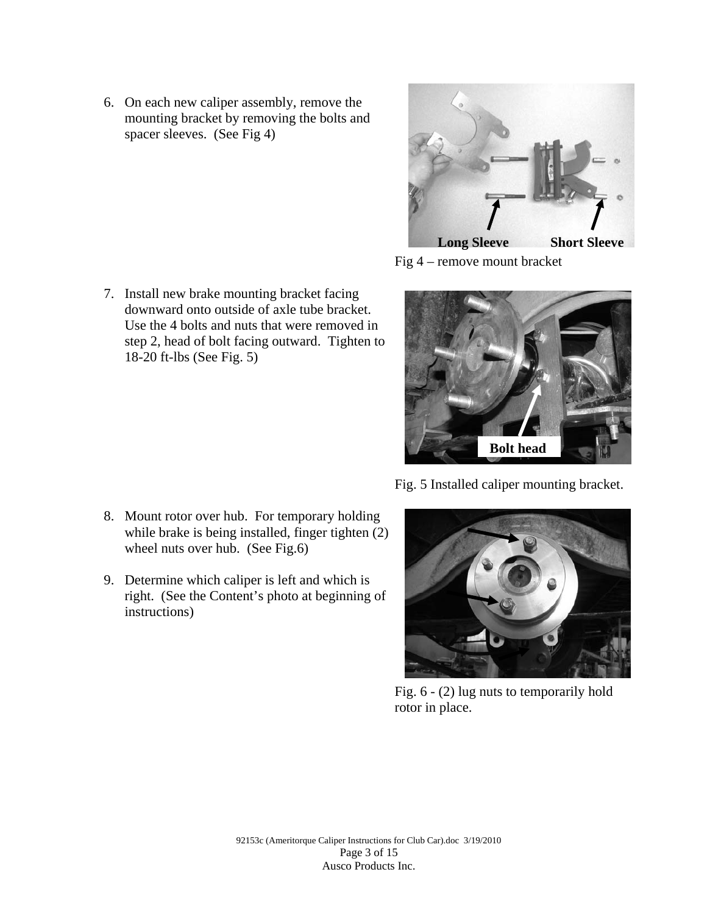6. On each new caliper assembly, remove the mounting bracket by removing the bolts and spacer sleeves. (See Fig 4)



Fig 4 – remove mount bracket



step 2, head of bolt facing outward. Tighten to 18-20 ft-lbs (See Fig. 5)

7. Install new brake mounting bracket facing downward onto outside of axle tube bracket. Use the 4 bolts and nuts that were removed in

- 8. Mount rotor over hub. For temporary holding while brake is being installed, finger tighten (2) wheel nuts over hub. (See Fig.6)
- 9. Determine which caliper is left and which is right. (See the Content's photo at beginning of instructions)

Fig. 5 Installed caliper mounting bracket.



Fig. 6 - (2) lug nuts to temporarily hold rotor in place.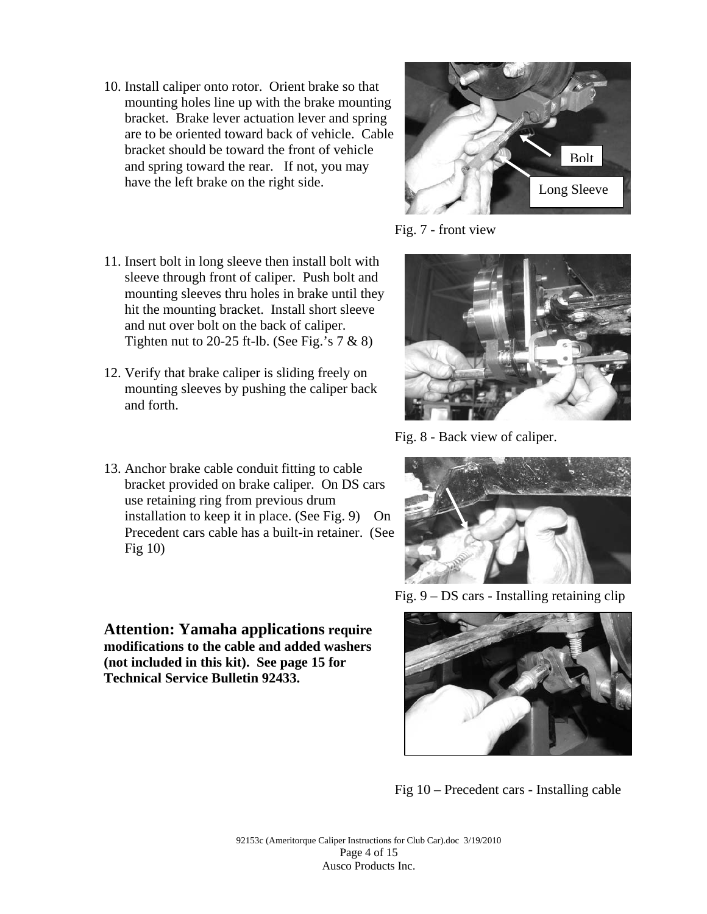- 10. Install caliper onto rotor. Orient brake so that mounting holes line up with the brake mounting bracket. Brake lever actuation lever and spring are to be oriented toward back of vehicle. Cable bracket should be toward the front of vehicle and spring toward the rear. If not, you may have the left brake on the right side.
- 11. Insert bolt in long sleeve then install bolt with sleeve through front of caliper. Push bolt and mounting sleeves thru holes in brake until they hit the mounting bracket. Install short sleeve and nut over bolt on the back of caliper. Tighten nut to 20-25 ft-lb. (See Fig.'s  $7 & 8 & 8$ )
- 12. Verify that brake caliper is sliding freely on mounting sleeves by pushing the caliper back and forth.
- 13. Anchor brake cable conduit fitting to cable bracket provided on brake caliper. On DS cars use retaining ring from previous drum installation to keep it in place. (See Fig. 9) On Precedent cars cable has a built-in retainer. (See Fig 10)

**Attention: Yamaha applications require modifications to the cable and added washers (not included in this kit). See page 15 for Technical Service Bulletin 92433.** 



Fig. 7 - front view



Fig. 8 - Back view of caliper.



Fig. 9 – DS cars - Installing retaining clip



Fig 10 – Precedent cars - Installing cable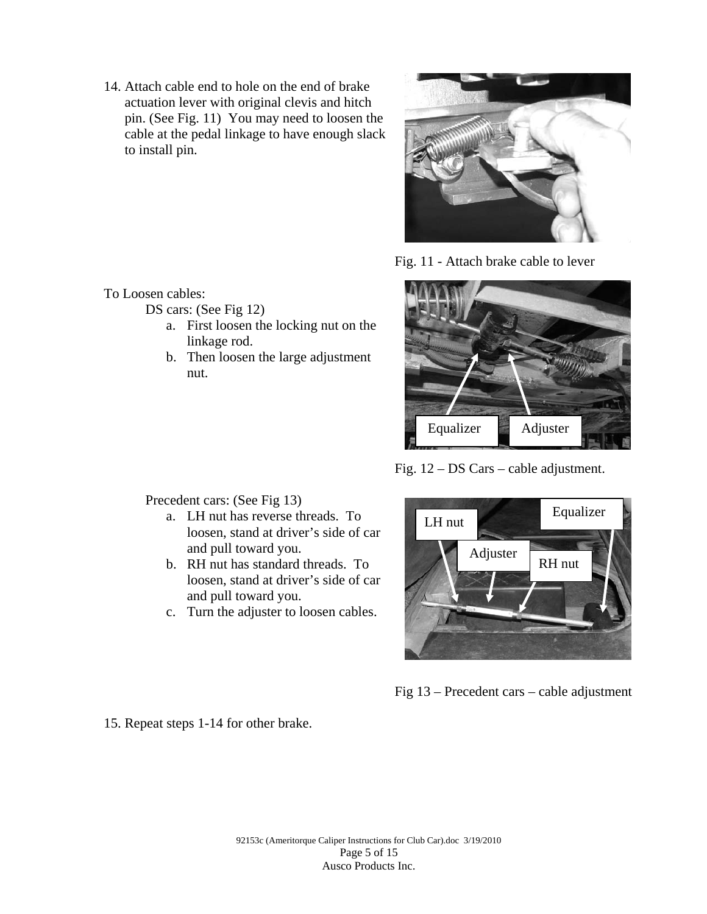14. Attach cable end to hole on the end of brake actuation lever with original clevis and hitch pin. (See Fig. 11) You may need to loosen the cable at the pedal linkage to have enough slack to install pin.



Fig. 11 - Attach brake cable to lever



Fig. 12 – DS Cars – cable adjustment.

Precedent cars: (See Fig 13)

To Loosen cables:

DS cars: (See Fig 12)

nut.

linkage rod.

a. LH nut has reverse threads. To loosen, stand at driver's side of car and pull toward you.

a. First loosen the locking nut on the

b. Then loosen the large adjustment

- b. RH nut has standard threads. To loosen, stand at driver's side of car and pull toward you.
- c. Turn the adjuster to loosen cables.



Fig 13 – Precedent cars – cable adjustment

15. Repeat steps 1-14 for other brake.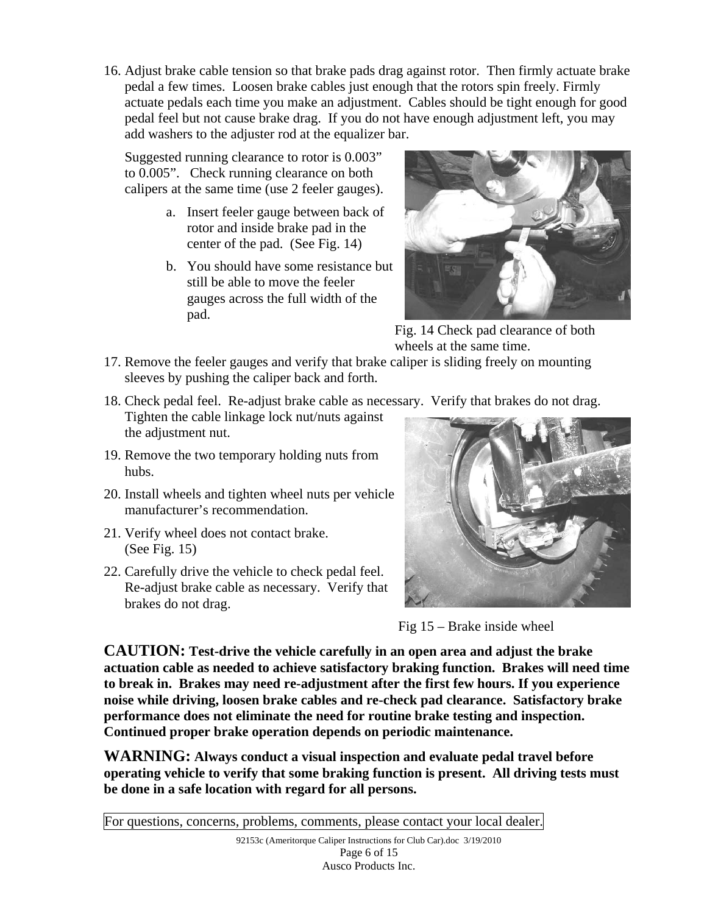16. Adjust brake cable tension so that brake pads drag against rotor. Then firmly actuate brake pedal a few times. Loosen brake cables just enough that the rotors spin freely. Firmly actuate pedals each time you make an adjustment. Cables should be tight enough for good pedal feel but not cause brake drag. If you do not have enough adjustment left, you may add washers to the adjuster rod at the equalizer bar.

Suggested running clearance to rotor is 0.003" to 0.005". Check running clearance on both calipers at the same time (use 2 feeler gauges).

- a. Insert feeler gauge between back of rotor and inside brake pad in the center of the pad. (See Fig. 14)
- b. You should have some resistance but still be able to move the feeler gauges across the full width of the pad.



Fig. 14 Check pad clearance of both wheels at the same time.

- 17. Remove the feeler gauges and verify that brake caliper is sliding freely on mounting sleeves by pushing the caliper back and forth.
- 18. Check pedal feel. Re-adjust brake cable as necessary. Verify that brakes do not drag.
- Tighten the cable linkage lock nut/nuts against the adjustment nut.
- 19. Remove the two temporary holding nuts from hubs.
- 20. Install wheels and tighten wheel nuts per vehicle manufacturer's recommendation.
- 21. Verify wheel does not contact brake. (See Fig. 15)
- 22. Carefully drive the vehicle to check pedal feel. Re-adjust brake cable as necessary. Verify that brakes do not drag.



Fig 15 – Brake inside wheel

**CAUTION: Test-drive the vehicle carefully in an open area and adjust the brake actuation cable as needed to achieve satisfactory braking function. Brakes will need time to break in. Brakes may need re-adjustment after the first few hours. If you experience noise while driving, loosen brake cables and re-check pad clearance. Satisfactory brake performance does not eliminate the need for routine brake testing and inspection. Continued proper brake operation depends on periodic maintenance.** 

**WARNING: Always conduct a visual inspection and evaluate pedal travel before operating vehicle to verify that some braking function is present. All driving tests must be done in a safe location with regard for all persons.** 

For questions, concerns, problems, comments, please contact your local dealer.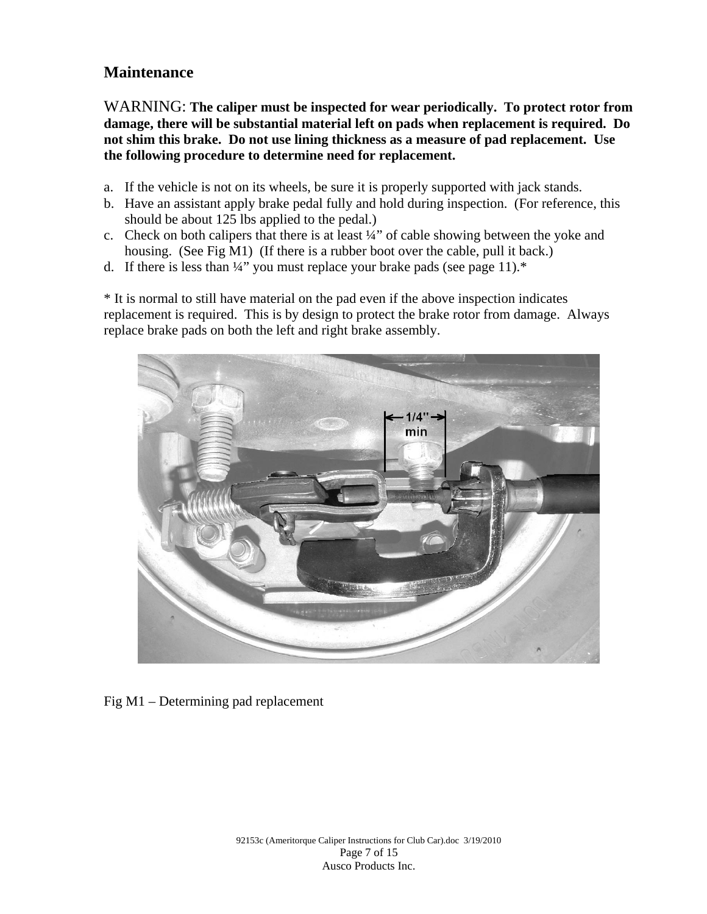## **Maintenance**

WARNING: **The caliper must be inspected for wear periodically. To protect rotor from damage, there will be substantial material left on pads when replacement is required. Do not shim this brake. Do not use lining thickness as a measure of pad replacement. Use the following procedure to determine need for replacement.** 

- a. If the vehicle is not on its wheels, be sure it is properly supported with jack stands.
- b. Have an assistant apply brake pedal fully and hold during inspection. (For reference, this should be about 125 lbs applied to the pedal.)
- c. Check on both calipers that there is at least ¼" of cable showing between the yoke and housing. (See Fig M1) (If there is a rubber boot over the cable, pull it back.)
- d. If there is less than  $\frac{1}{4}$ " you must replace your brake pads (see page 11).\*

\* It is normal to still have material on the pad even if the above inspection indicates replacement is required. This is by design to protect the brake rotor from damage. Always replace brake pads on both the left and right brake assembly.



Fig M1 – Determining pad replacement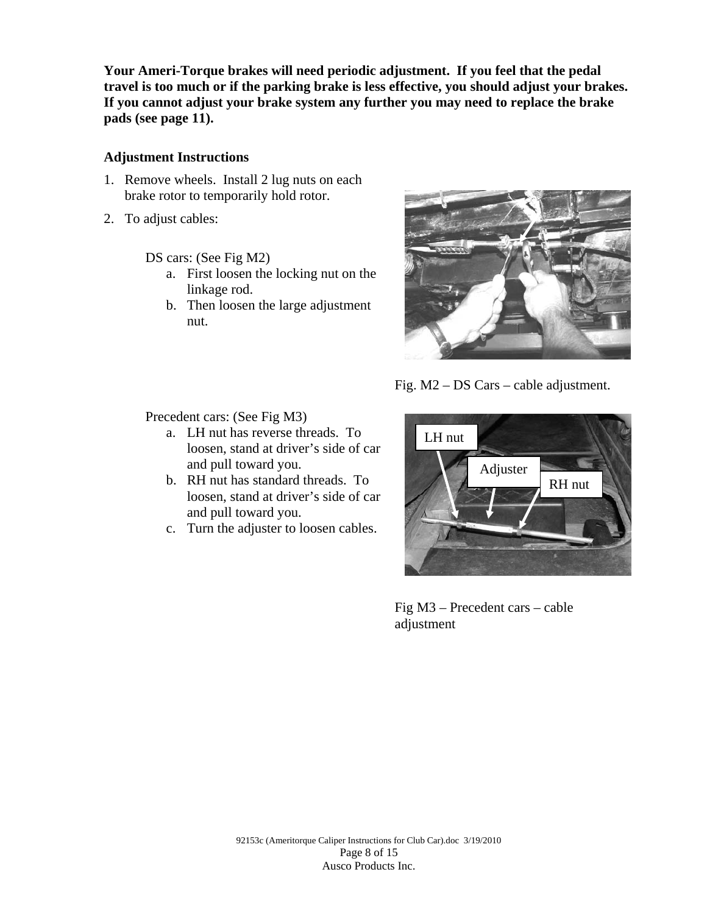**Your Ameri-Torque brakes will need periodic adjustment. If you feel that the pedal travel is too much or if the parking brake is less effective, you should adjust your brakes. If you cannot adjust your brake system any further you may need to replace the brake pads (see page 11).** 

#### **Adjustment Instructions**

- 1. Remove wheels. Install 2 lug nuts on each brake rotor to temporarily hold rotor.
- 2. To adjust cables:

DS cars: (See Fig M2)

- a. First loosen the locking nut on the linkage rod.
- b. Then loosen the large adjustment nut.



Fig. M2 – DS Cars – cable adjustment.

Precedent cars: (See Fig M3)

- a. LH nut has reverse threads. To loosen, stand at driver's side of car and pull toward you.
- b. RH nut has standard threads. To loosen, stand at driver's side of car and pull toward you.
- c. Turn the adjuster to loosen cables.



Fig M3 – Precedent cars – cable adjustment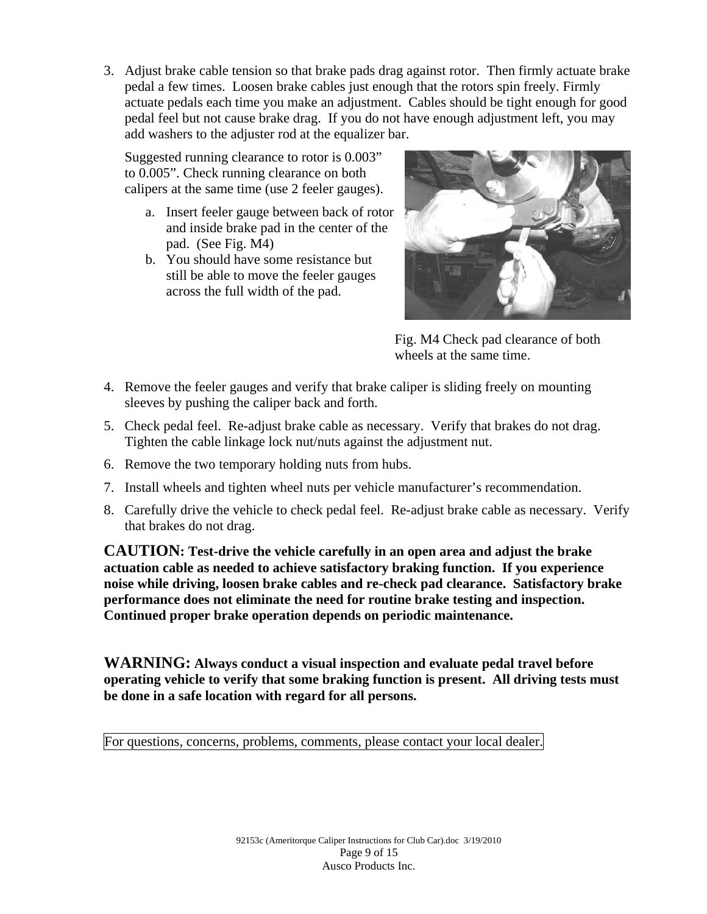3. Adjust brake cable tension so that brake pads drag against rotor. Then firmly actuate brake pedal a few times. Loosen brake cables just enough that the rotors spin freely. Firmly actuate pedals each time you make an adjustment. Cables should be tight enough for good pedal feel but not cause brake drag. If you do not have enough adjustment left, you may add washers to the adjuster rod at the equalizer bar.

Suggested running clearance to rotor is 0.003" to 0.005". Check running clearance on both calipers at the same time (use 2 feeler gauges).

- a. Insert feeler gauge between back of rotor and inside brake pad in the center of the pad. (See Fig. M4)
- b. You should have some resistance but still be able to move the feeler gauges across the full width of the pad.



Fig. M4 Check pad clearance of both wheels at the same time.

- 4. Remove the feeler gauges and verify that brake caliper is sliding freely on mounting sleeves by pushing the caliper back and forth.
- 5. Check pedal feel. Re-adjust brake cable as necessary. Verify that brakes do not drag. Tighten the cable linkage lock nut/nuts against the adjustment nut.
- 6. Remove the two temporary holding nuts from hubs.
- 7. Install wheels and tighten wheel nuts per vehicle manufacturer's recommendation.
- 8. Carefully drive the vehicle to check pedal feel. Re-adjust brake cable as necessary. Verify that brakes do not drag.

**CAUTION: Test-drive the vehicle carefully in an open area and adjust the brake actuation cable as needed to achieve satisfactory braking function. If you experience noise while driving, loosen brake cables and re-check pad clearance. Satisfactory brake performance does not eliminate the need for routine brake testing and inspection. Continued proper brake operation depends on periodic maintenance.** 

**WARNING: Always conduct a visual inspection and evaluate pedal travel before operating vehicle to verify that some braking function is present. All driving tests must be done in a safe location with regard for all persons.** 

For questions, concerns, problems, comments, please contact your local dealer.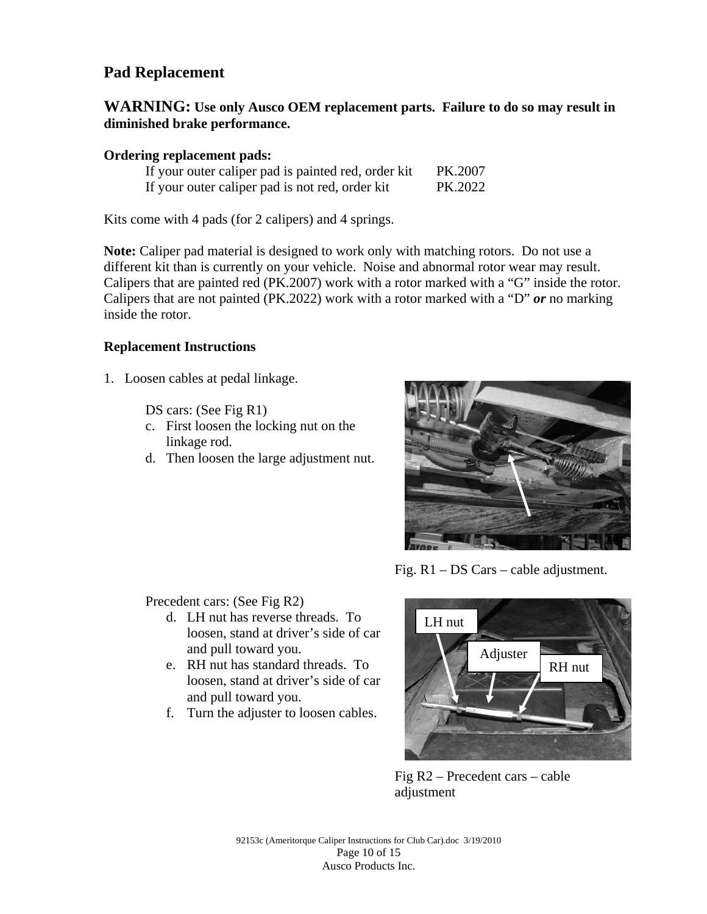# **Pad Replacement**

#### **WARNING: Use only Ausco OEM replacement parts. Failure to do so may result in diminished brake performance.**

#### **Ordering replacement pads:**

|  |  | If your outer caliper pad is painted red, order kit | PK.2007 |
|--|--|-----------------------------------------------------|---------|
|  |  | If your outer caliper pad is not red, order kit     | PK.2022 |

Kits come with 4 pads (for 2 calipers) and 4 springs.

**Note:** Caliper pad material is designed to work only with matching rotors. Do not use a different kit than is currently on your vehicle. Noise and abnormal rotor wear may result. Calipers that are painted red (PK.2007) work with a rotor marked with a "G" inside the rotor. Calipers that are not painted (PK.2022) work with a rotor marked with a "D" *or* no marking inside the rotor.

#### **Replacement Instructions**

1. Loosen cables at pedal linkage.

DS cars: (See Fig R1)

- c. First loosen the locking nut on the linkage rod.
- d. Then loosen the large adjustment nut.



Fig. R1 – DS Cars – cable adjustment.

Precedent cars: (See Fig R2)

- d. LH nut has reverse threads. To loosen, stand at driver's side of car and pull toward you.
- e. RH nut has standard threads. To loosen, stand at driver's side of car and pull toward you.
- f. Turn the adjuster to loosen cables.



Fig R2 – Precedent cars – cable adjustment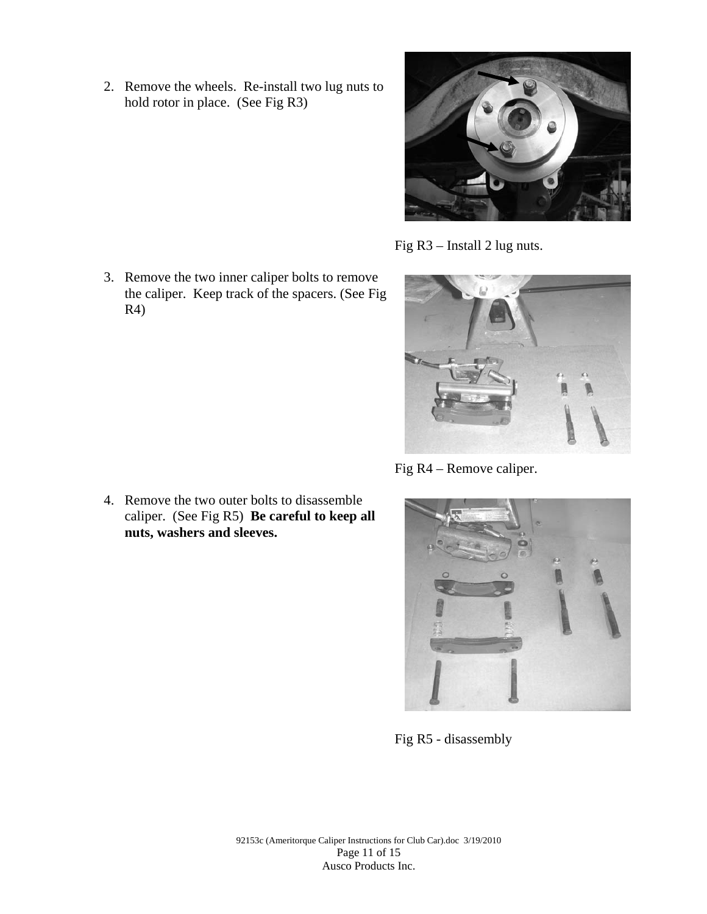2. Remove the wheels. Re-install two lug nuts to hold rotor in place. (See Fig R3)



Fig R3 – Install 2 lug nuts.

the caliper. Keep track of the spacers. (See Fig

Fig R4 – Remove caliper.



Fig R5 - disassembly

92153c (Ameritorque Caliper Instructions for Club Car).doc 3/19/2010 Page 11 of 15 Ausco Products Inc.

3. Remove the two inner caliper bolts to remove

R4)

4. Remove the two outer bolts to disassemble caliper. (See Fig R5) **Be careful to keep all nuts, washers and sleeves.**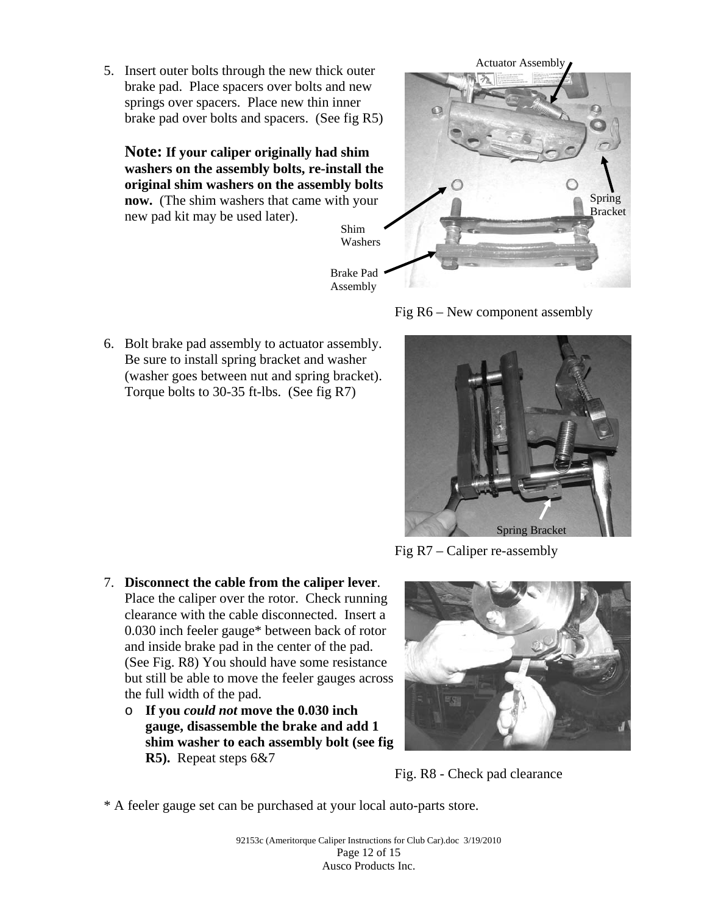5. Insert outer bolts through the new thick outer brake pad. Place spacers over bolts and new springs over spacers. Place new thin inner brake pad over bolts and spacers. (See fig R5)

**Note: If your caliper originally had shim washers on the assembly bolts, re-install the original shim washers on the assembly bolts now.** (The shim washers that came with your new pad kit may be used later).





6. Bolt brake pad assembly to actuator assembly. Be sure to install spring bracket and washer (washer goes between nut and spring bracket). Torque bolts to 30-35 ft-lbs. (See fig R7)



Fig R7 – Caliper re-assembly

- 7. **Disconnect the cable from the caliper lever**. Place the caliper over the rotor. Check running clearance with the cable disconnected. Insert a 0.030 inch feeler gauge\* between back of rotor and inside brake pad in the center of the pad. (See Fig. R8) You should have some resistance but still be able to move the feeler gauges across the full width of the pad.
	- o **If you** *could not* **move the 0.030 inch gauge, disassemble the brake and add 1 shim washer to each assembly bolt (see fig R5).** Repeat steps 6&7



Fig. R8 - Check pad clearance

\* A feeler gauge set can be purchased at your local auto-parts store.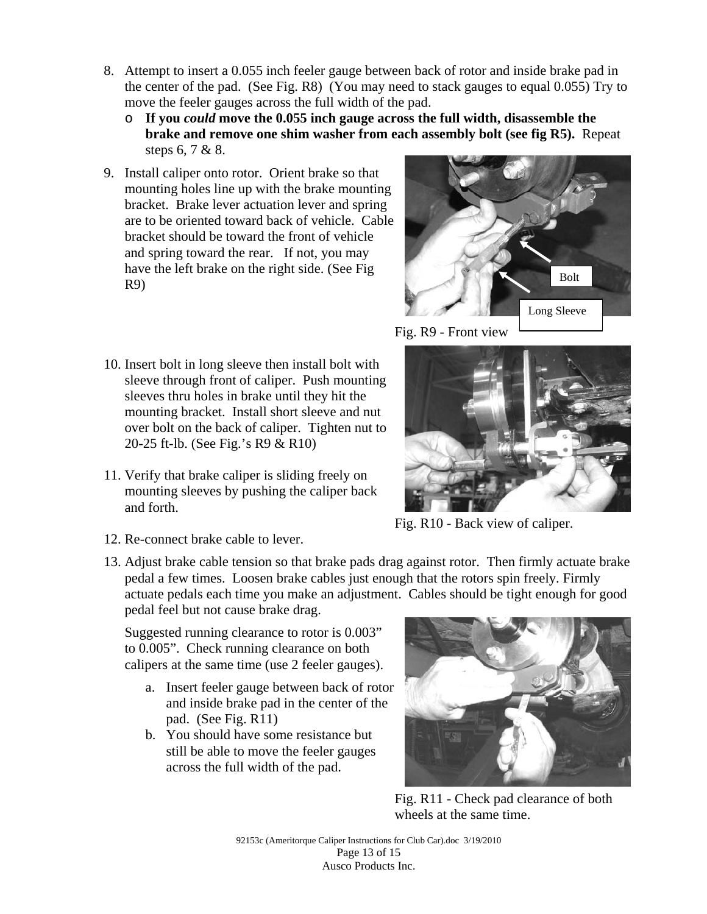- 8. Attempt to insert a 0.055 inch feeler gauge between back of rotor and inside brake pad in the center of the pad. (See Fig. R8) (You may need to stack gauges to equal 0.055) Try to move the feeler gauges across the full width of the pad.
	- o **If you** *could* **move the 0.055 inch gauge across the full width, disassemble the brake and remove one shim washer from each assembly bolt (see fig R5).** Repeat steps 6, 7 & 8.
- 9. Install caliper onto rotor. Orient brake so that mounting holes line up with the brake mounting bracket. Brake lever actuation lever and spring are to be oriented toward back of vehicle. Cable bracket should be toward the front of vehicle and spring toward the rear. If not, you may have the left brake on the right side. (See Fig R9)
- Bolt Long Sleeve
- 10. Insert bolt in long sleeve then install bolt with sleeve through front of caliper. Push mounting sleeves thru holes in brake until they hit the mounting bracket. Install short sleeve and nut over bolt on the back of caliper. Tighten nut to 20-25 ft-lb. (See Fig.'s R9 & R10)
- 11. Verify that brake caliper is sliding freely on mounting sleeves by pushing the caliper back and forth.



Fig. R10 - Back view of caliper.

- 12. Re-connect brake cable to lever.
- 13. Adjust brake cable tension so that brake pads drag against rotor. Then firmly actuate brake pedal a few times. Loosen brake cables just enough that the rotors spin freely. Firmly actuate pedals each time you make an adjustment. Cables should be tight enough for good pedal feel but not cause brake drag.

Suggested running clearance to rotor is 0.003" to 0.005". Check running clearance on both calipers at the same time (use 2 feeler gauges).

- a. Insert feeler gauge between back of rotor and inside brake pad in the center of the pad. (See Fig. R11)
- b. You should have some resistance but still be able to move the feeler gauges across the full width of the pad.



Fig. R11 - Check pad clearance of both wheels at the same time.

92153c (Ameritorque Caliper Instructions for Club Car).doc 3/19/2010 Page 13 of 15 Ausco Products Inc.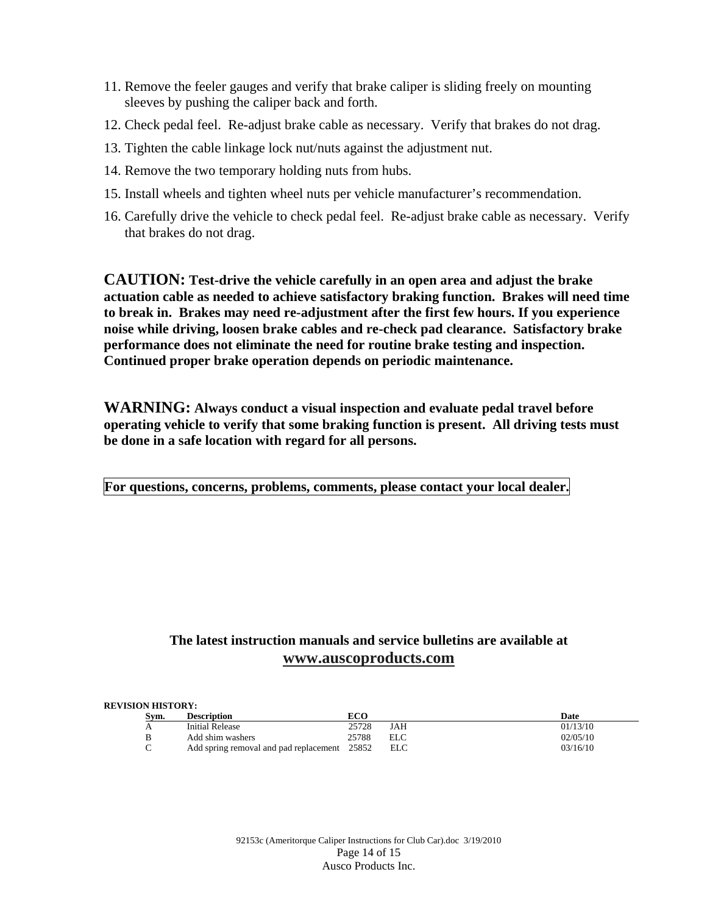- 11. Remove the feeler gauges and verify that brake caliper is sliding freely on mounting sleeves by pushing the caliper back and forth.
- 12. Check pedal feel. Re-adjust brake cable as necessary. Verify that brakes do not drag.
- 13. Tighten the cable linkage lock nut/nuts against the adjustment nut.
- 14. Remove the two temporary holding nuts from hubs.
- 15. Install wheels and tighten wheel nuts per vehicle manufacturer's recommendation.
- 16. Carefully drive the vehicle to check pedal feel. Re-adjust brake cable as necessary. Verify that brakes do not drag.

**CAUTION: Test-drive the vehicle carefully in an open area and adjust the brake actuation cable as needed to achieve satisfactory braking function. Brakes will need time to break in. Brakes may need re-adjustment after the first few hours. If you experience noise while driving, loosen brake cables and re-check pad clearance. Satisfactory brake performance does not eliminate the need for routine brake testing and inspection. Continued proper brake operation depends on periodic maintenance.** 

**WARNING: Always conduct a visual inspection and evaluate pedal travel before operating vehicle to verify that some braking function is present. All driving tests must be done in a safe location with regard for all persons.** 

**For questions, concerns, problems, comments, please contact your local dealer.** 

#### **The latest instruction manuals and service bulletins are available at www.auscoproducts.com**

#### **REVISION HISTORY:**

| Svm. | <b>Description</b>                           |       |      | Date     |
|------|----------------------------------------------|-------|------|----------|
| Α    | Initial Release                              | 25728 | JAH  | 01/13/10 |
| В    | Add shim washers                             | 25788 | EL C | 02/05/10 |
|      | Add spring removal and pad replacement 25852 |       | ELC  | 03/16/10 |